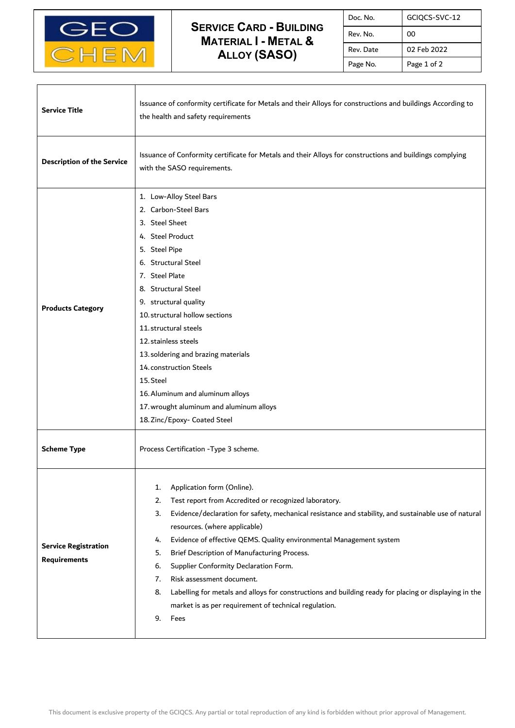

Τ

 $\overline{1}$ 

## **SERVICE CARD - BUILDING MATERIAL I - METAL & ALLOY (SASO)**

| Doc. No.  | GCIQCS-SVC-12 |
|-----------|---------------|
| Rev. No.  | 00            |
| Rev. Date | 02 Feb 2022   |
| Page No.  | Page 1 of 2   |

٦

| <b>Service Title</b>                               | Issuance of conformity certificate for Metals and their Alloys for constructions and buildings According to<br>the health and safety requirements                                                                                                                                                                                                                                                                                                                                                                                                                                                                                                        |  |
|----------------------------------------------------|----------------------------------------------------------------------------------------------------------------------------------------------------------------------------------------------------------------------------------------------------------------------------------------------------------------------------------------------------------------------------------------------------------------------------------------------------------------------------------------------------------------------------------------------------------------------------------------------------------------------------------------------------------|--|
| <b>Description of the Service</b>                  | Issuance of Conformity certificate for Metals and their Alloys for constructions and buildings complying<br>with the SASO requirements.                                                                                                                                                                                                                                                                                                                                                                                                                                                                                                                  |  |
| <b>Products Category</b>                           | 1. Low-Alloy Steel Bars<br>2. Carbon-Steel Bars<br>3. Steel Sheet<br>4. Steel Product<br>5. Steel Pipe<br>6. Structural Steel<br>7. Steel Plate<br>8. Structural Steel<br>9. structural quality<br>10. structural hollow sections<br>11. structural steels<br>12. stainless steels<br>13. soldering and brazing materials<br>14. construction Steels<br>15. Steel<br>16. Aluminum and aluminum alloys<br>17. wrought aluminum and aluminum alloys<br>18. Zinc/Epoxy- Coated Steel                                                                                                                                                                        |  |
| <b>Scheme Type</b>                                 | Process Certification - Type 3 scheme.                                                                                                                                                                                                                                                                                                                                                                                                                                                                                                                                                                                                                   |  |
| <b>Service Registration</b><br><b>Requirements</b> | Application form (Online).<br>1.<br>Test report from Accredited or recognized laboratory.<br>2.<br>Evidence/declaration for safety, mechanical resistance and stability, and sustainable use of natural<br>3.<br>resources. (where applicable)<br>Evidence of effective QEMS. Quality environmental Management system<br>4.<br>Brief Description of Manufacturing Process.<br>5.<br>Supplier Conformity Declaration Form.<br>6.<br>Risk assessment document.<br>7.<br>Labelling for metals and alloys for constructions and building ready for placing or displaying in the<br>8.<br>market is as per requirement of technical regulation.<br>9.<br>Fees |  |